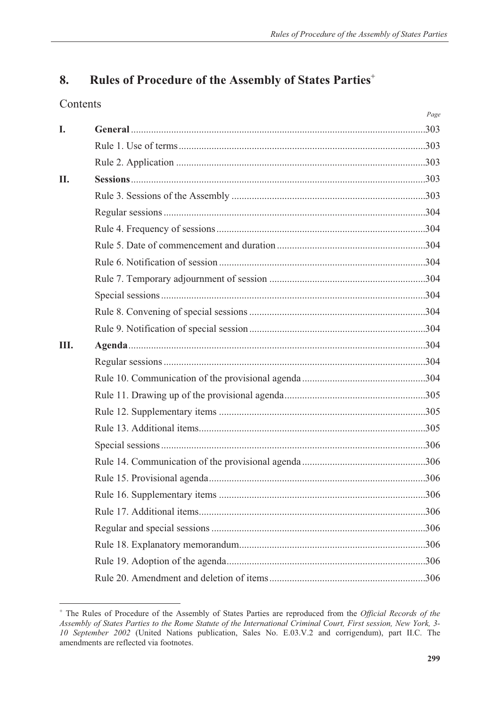# **8. Rules of Procedure of the Assembly of States Parties**-

# Contents

|     | Page |
|-----|------|
| I.  |      |
|     |      |
|     |      |
| II. |      |
|     |      |
|     |      |
|     |      |
|     |      |
|     |      |
|     |      |
|     |      |
|     |      |
|     |      |
| Ш.  |      |
|     |      |
|     |      |
|     |      |
|     |      |
|     |      |
|     |      |
|     |      |
|     |      |
|     |      |
|     |      |
|     |      |
|     |      |
|     |      |
|     |      |
|     |      |

<sup>-</sup> The Rules of Procedure of the Assembly of States Parties are reproduced from the *Official Records of the Assembly of States Parties to the Rome Statute of the International Criminal Court, First session, New York, 3- 10 September 2002* (United Nations publication, Sales No. E.03.V.2 and corrigendum), part II.C. The amendments are reflected via footnotes.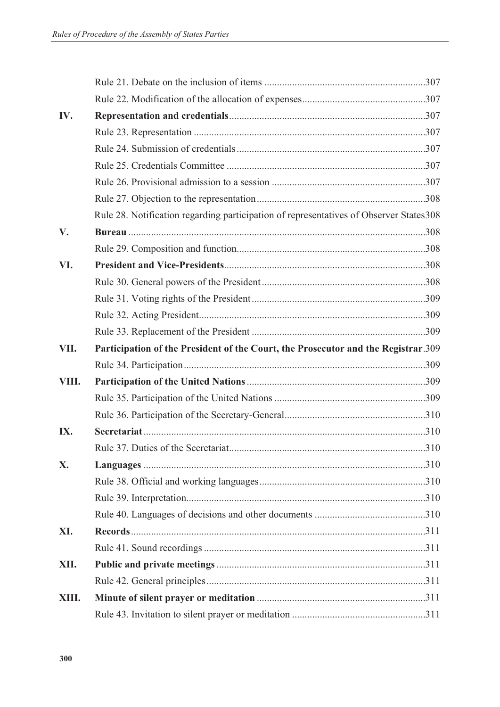| IV.   |                                                                                         |  |
|-------|-----------------------------------------------------------------------------------------|--|
|       |                                                                                         |  |
|       |                                                                                         |  |
|       |                                                                                         |  |
|       |                                                                                         |  |
|       |                                                                                         |  |
|       | Rule 28. Notification regarding participation of representatives of Observer States 308 |  |
| V.    |                                                                                         |  |
|       |                                                                                         |  |
| VI.   |                                                                                         |  |
|       |                                                                                         |  |
|       |                                                                                         |  |
|       |                                                                                         |  |
|       |                                                                                         |  |
| VII.  | Participation of the President of the Court, the Prosecutor and the Registrar.309       |  |
|       |                                                                                         |  |
| VIII. |                                                                                         |  |
|       |                                                                                         |  |
|       |                                                                                         |  |
| IX.   |                                                                                         |  |
|       |                                                                                         |  |
| X.    |                                                                                         |  |
|       |                                                                                         |  |
|       |                                                                                         |  |
|       |                                                                                         |  |
| XI.   |                                                                                         |  |
|       |                                                                                         |  |
| XII.  |                                                                                         |  |
|       |                                                                                         |  |
| XIII. |                                                                                         |  |
|       |                                                                                         |  |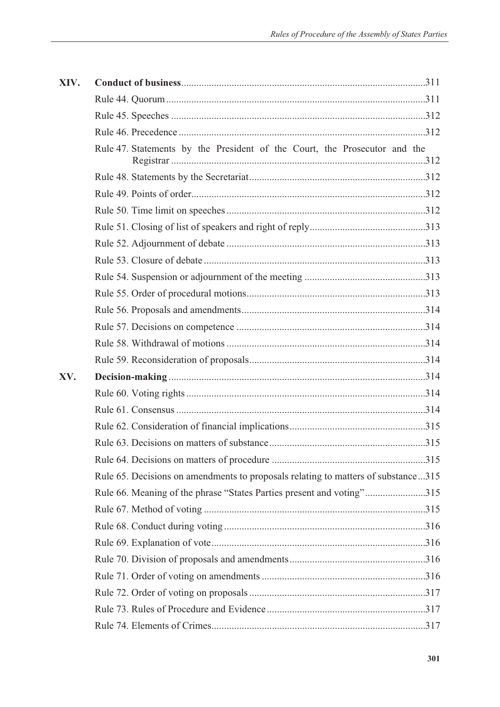| XIV. |                                                                                   |  |
|------|-----------------------------------------------------------------------------------|--|
|      |                                                                                   |  |
|      |                                                                                   |  |
|      |                                                                                   |  |
|      | Rule 47. Statements by the President of the Court, the Prosecutor and the         |  |
|      |                                                                                   |  |
|      |                                                                                   |  |
|      |                                                                                   |  |
|      |                                                                                   |  |
|      |                                                                                   |  |
|      |                                                                                   |  |
|      |                                                                                   |  |
|      |                                                                                   |  |
|      |                                                                                   |  |
|      |                                                                                   |  |
|      |                                                                                   |  |
|      |                                                                                   |  |
| XV.  |                                                                                   |  |
|      |                                                                                   |  |
|      |                                                                                   |  |
|      |                                                                                   |  |
|      |                                                                                   |  |
|      |                                                                                   |  |
|      | Rule 65. Decisions on amendments to proposals relating to matters of substance315 |  |
|      | Rule 66. Meaning of the phrase "States Parties present and voting"315             |  |
|      |                                                                                   |  |
|      |                                                                                   |  |
|      |                                                                                   |  |
|      |                                                                                   |  |
|      |                                                                                   |  |
|      |                                                                                   |  |
|      |                                                                                   |  |
|      |                                                                                   |  |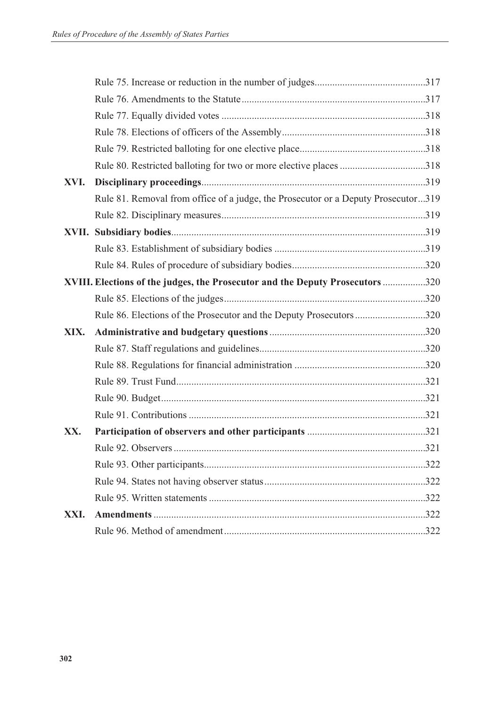|      | Rule 80. Restricted balloting for two or more elective places 318                 |  |
|------|-----------------------------------------------------------------------------------|--|
| XVI. |                                                                                   |  |
|      | Rule 81. Removal from office of a judge, the Prosecutor or a Deputy Prosecutor319 |  |
|      |                                                                                   |  |
|      |                                                                                   |  |
|      |                                                                                   |  |
|      |                                                                                   |  |
|      | XVIII. Elections of the judges, the Prosecutor and the Deputy Prosecutors 320     |  |
|      |                                                                                   |  |
|      | Rule 86. Elections of the Prosecutor and the Deputy Prosecutors320                |  |
| XIX. |                                                                                   |  |
|      |                                                                                   |  |
|      |                                                                                   |  |
|      |                                                                                   |  |
|      |                                                                                   |  |
|      |                                                                                   |  |
| XX.  |                                                                                   |  |
|      |                                                                                   |  |
|      |                                                                                   |  |
|      |                                                                                   |  |
|      |                                                                                   |  |
| XXI. |                                                                                   |  |
|      |                                                                                   |  |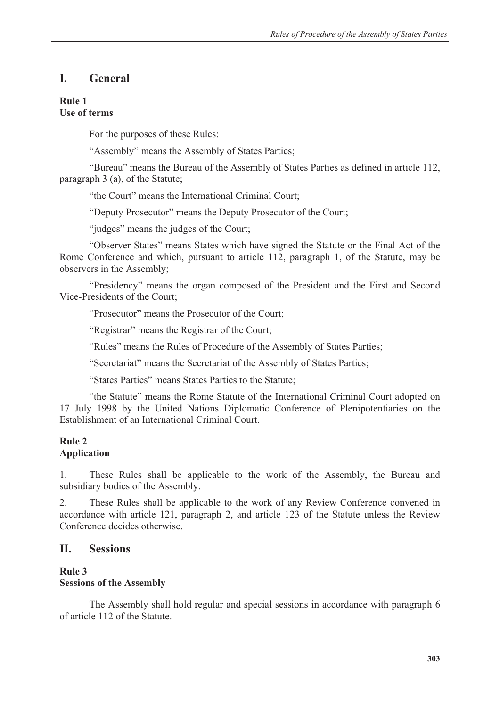# **I. General**

### **Rule 1 Use of terms**

For the purposes of these Rules:

"Assembly" means the Assembly of States Parties;

 "Bureau" means the Bureau of the Assembly of States Parties as defined in article 112, paragraph 3 (a), of the Statute;

"the Court" means the International Criminal Court;

"Deputy Prosecutor" means the Deputy Prosecutor of the Court;

"judges" means the judges of the Court;

 "Observer States" means States which have signed the Statute or the Final Act of the Rome Conference and which, pursuant to article 112, paragraph 1, of the Statute, may be observers in the Assembly;

 "Presidency" means the organ composed of the President and the First and Second Vice-Presidents of the Court;

"Prosecutor" means the Prosecutor of the Court;

"Registrar" means the Registrar of the Court;

"Rules" means the Rules of Procedure of the Assembly of States Parties;

"Secretariat" means the Secretariat of the Assembly of States Parties;

"States Parties" means States Parties to the Statute;

 "the Statute" means the Rome Statute of the International Criminal Court adopted on 17 July 1998 by the United Nations Diplomatic Conference of Plenipotentiaries on the Establishment of an International Criminal Court.

## **Rule 2 Application**

1. These Rules shall be applicable to the work of the Assembly, the Bureau and subsidiary bodies of the Assembly.

2. These Rules shall be applicable to the work of any Review Conference convened in accordance with article 121, paragraph 2, and article 123 of the Statute unless the Review Conference decides otherwise.

# **II. Sessions**

#### **Rule 3 Sessions of the Assembly**

 The Assembly shall hold regular and special sessions in accordance with paragraph 6 of article 112 of the Statute.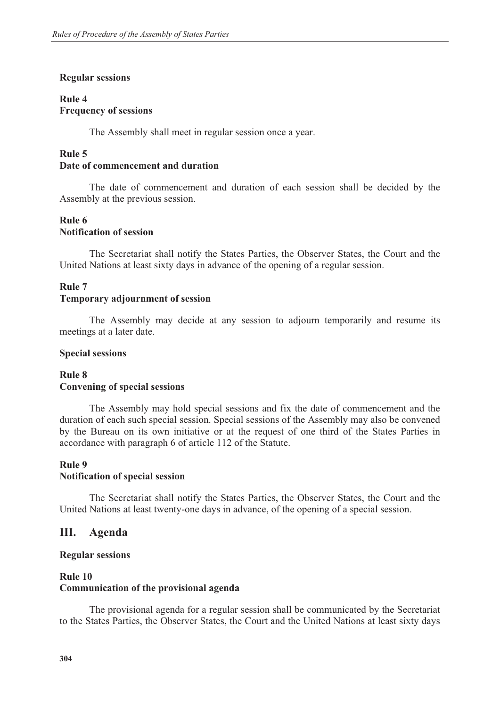#### **Regular sessions**

### **Rule 4 Frequency of sessions**

The Assembly shall meet in regular session once a year.

### **Rule 5 Date of commencement and duration**

 The date of commencement and duration of each session shall be decided by the Assembly at the previous session.

### **Rule 6 Notification of session**

 The Secretariat shall notify the States Parties, the Observer States, the Court and the United Nations at least sixty days in advance of the opening of a regular session.

#### **Rule 7**

#### **Temporary adjournment of session**

 The Assembly may decide at any session to adjourn temporarily and resume its meetings at a later date.

#### **Special sessions**

### **Rule 8 Convening of special sessions**

 The Assembly may hold special sessions and fix the date of commencement and the duration of each such special session. Special sessions of the Assembly may also be convened by the Bureau on its own initiative or at the request of one third of the States Parties in accordance with paragraph 6 of article 112 of the Statute.

#### **Rule 9 Notification of special session**

 The Secretariat shall notify the States Parties, the Observer States, the Court and the United Nations at least twenty-one days in advance, of the opening of a special session.

## **III. Agenda**

#### **Regular sessions**

#### **Rule 10 Communication of the provisional agenda**

 The provisional agenda for a regular session shall be communicated by the Secretariat to the States Parties, the Observer States, the Court and the United Nations at least sixty days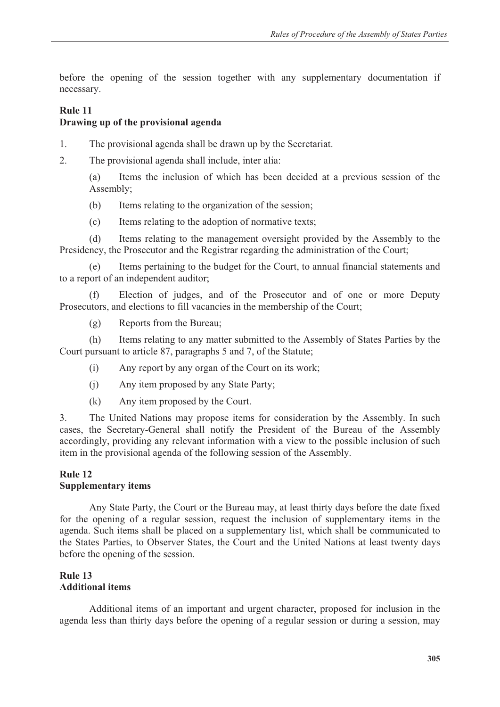before the opening of the session together with any supplementary documentation if necessary.

# **Rule 11**

## **Drawing up of the provisional agenda**

- 1. The provisional agenda shall be drawn up by the Secretariat.
- 2. The provisional agenda shall include, inter alia:

 (a) Items the inclusion of which has been decided at a previous session of the Assembly;

- (b) Items relating to the organization of the session;
- (c) Items relating to the adoption of normative texts;

 (d) Items relating to the management oversight provided by the Assembly to the Presidency, the Prosecutor and the Registrar regarding the administration of the Court;

 (e) Items pertaining to the budget for the Court, to annual financial statements and to a report of an independent auditor;

 (f) Election of judges, and of the Prosecutor and of one or more Deputy Prosecutors, and elections to fill vacancies in the membership of the Court;

(g) Reports from the Bureau;

 (h) Items relating to any matter submitted to the Assembly of States Parties by the Court pursuant to article 87, paragraphs 5 and 7, of the Statute;

- (i) Any report by any organ of the Court on its work;
- (j) Any item proposed by any State Party;
- (k) Any item proposed by the Court.

3. The United Nations may propose items for consideration by the Assembly. In such cases, the Secretary-General shall notify the President of the Bureau of the Assembly accordingly, providing any relevant information with a view to the possible inclusion of such item in the provisional agenda of the following session of the Assembly.

### **Rule 12 Supplementary items**

 Any State Party, the Court or the Bureau may, at least thirty days before the date fixed for the opening of a regular session, request the inclusion of supplementary items in the agenda. Such items shall be placed on a supplementary list, which shall be communicated to the States Parties, to Observer States, the Court and the United Nations at least twenty days before the opening of the session.

## **Rule 13 Additional items**

 Additional items of an important and urgent character, proposed for inclusion in the agenda less than thirty days before the opening of a regular session or during a session, may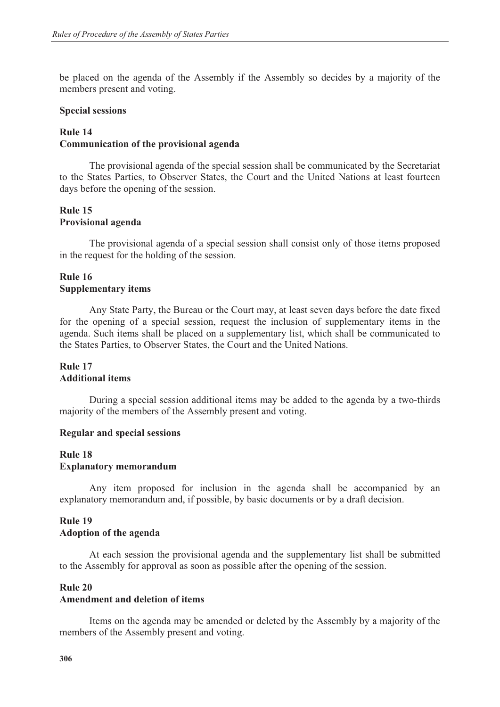be placed on the agenda of the Assembly if the Assembly so decides by a majority of the members present and voting.

#### **Special sessions**

### **Rule 14 Communication of the provisional agenda**

 The provisional agenda of the special session shall be communicated by the Secretariat to the States Parties, to Observer States, the Court and the United Nations at least fourteen days before the opening of the session.

### **Rule 15 Provisional agenda**

 The provisional agenda of a special session shall consist only of those items proposed in the request for the holding of the session.

## **Rule 16 Supplementary items**

 Any State Party, the Bureau or the Court may, at least seven days before the date fixed for the opening of a special session, request the inclusion of supplementary items in the agenda. Such items shall be placed on a supplementary list, which shall be communicated to the States Parties, to Observer States, the Court and the United Nations.

### **Rule 17 Additional items**

 During a special session additional items may be added to the agenda by a two-thirds majority of the members of the Assembly present and voting.

#### **Regular and special sessions**

#### **Rule 18 Explanatory memorandum**

 Any item proposed for inclusion in the agenda shall be accompanied by an explanatory memorandum and, if possible, by basic documents or by a draft decision.

# **Rule 19 Adoption of the agenda**

 At each session the provisional agenda and the supplementary list shall be submitted to the Assembly for approval as soon as possible after the opening of the session.

#### **Rule 20**

#### **Amendment and deletion of items**

 Items on the agenda may be amended or deleted by the Assembly by a majority of the members of the Assembly present and voting.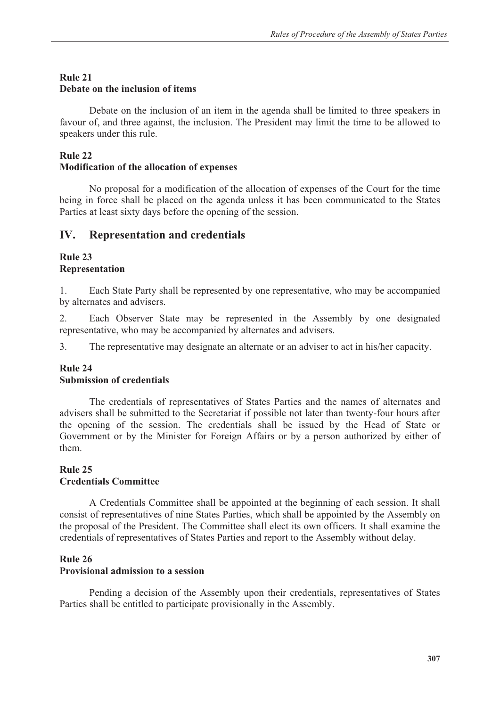# **Rule 21 Debate on the inclusion of items**

 Debate on the inclusion of an item in the agenda shall be limited to three speakers in favour of, and three against, the inclusion. The President may limit the time to be allowed to speakers under this rule.

# **Rule 22**

## **Modification of the allocation of expenses**

 No proposal for a modification of the allocation of expenses of the Court for the time being in force shall be placed on the agenda unless it has been communicated to the States Parties at least sixty days before the opening of the session.

# **IV. Representation and credentials**

#### **Rule 23 Representation**

1. Each State Party shall be represented by one representative, who may be accompanied by alternates and advisers.

2. Each Observer State may be represented in the Assembly by one designated representative, who may be accompanied by alternates and advisers.

3. The representative may designate an alternate or an adviser to act in his/her capacity.

## **Rule 24 Submission of credentials**

 The credentials of representatives of States Parties and the names of alternates and advisers shall be submitted to the Secretariat if possible not later than twenty-four hours after the opening of the session. The credentials shall be issued by the Head of State or Government or by the Minister for Foreign Affairs or by a person authorized by either of them.

# **Rule 25 Credentials Committee**

 A Credentials Committee shall be appointed at the beginning of each session. It shall consist of representatives of nine States Parties, which shall be appointed by the Assembly on the proposal of the President. The Committee shall elect its own officers. It shall examine the credentials of representatives of States Parties and report to the Assembly without delay.

# **Rule 26**

## **Provisional admission to a session**

 Pending a decision of the Assembly upon their credentials, representatives of States Parties shall be entitled to participate provisionally in the Assembly.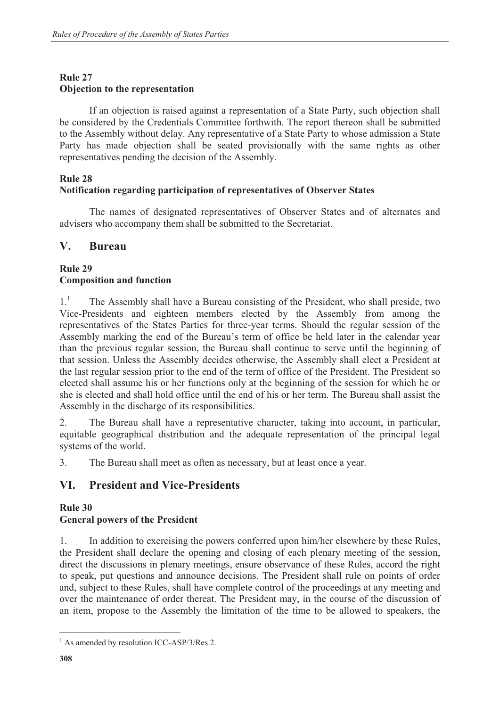# **Rule 27 Objection to the representation**

 If an objection is raised against a representation of a State Party, such objection shall be considered by the Credentials Committee forthwith. The report thereon shall be submitted to the Assembly without delay. Any representative of a State Party to whose admission a State Party has made objection shall be seated provisionally with the same rights as other representatives pending the decision of the Assembly.

# **Rule 28**

# **Notification regarding participation of representatives of Observer States**

 The names of designated representatives of Observer States and of alternates and advisers who accompany them shall be submitted to the Secretariat.

# **V. Bureau**

# **Rule 29 Composition and function**

 $1<sup>1</sup>$  The Assembly shall have a Bureau consisting of the President, who shall preside, two Vice-Presidents and eighteen members elected by the Assembly from among the representatives of the States Parties for three-year terms. Should the regular session of the Assembly marking the end of the Bureau's term of office be held later in the calendar year than the previous regular session, the Bureau shall continue to serve until the beginning of that session. Unless the Assembly decides otherwise, the Assembly shall elect a President at the last regular session prior to the end of the term of office of the President. The President so elected shall assume his or her functions only at the beginning of the session for which he or she is elected and shall hold office until the end of his or her term. The Bureau shall assist the Assembly in the discharge of its responsibilities.

2. The Bureau shall have a representative character, taking into account, in particular, equitable geographical distribution and the adequate representation of the principal legal systems of the world.

3. The Bureau shall meet as often as necessary, but at least once a year.

# **VI. President and Vice-Presidents**

# **Rule 30 General powers of the President**

1. In addition to exercising the powers conferred upon him/her elsewhere by these Rules, the President shall declare the opening and closing of each plenary meeting of the session, direct the discussions in plenary meetings, ensure observance of these Rules, accord the right to speak, put questions and announce decisions. The President shall rule on points of order and, subject to these Rules, shall have complete control of the proceedings at any meeting and over the maintenance of order thereat. The President may, in the course of the discussion of an item, propose to the Assembly the limitation of the time to be allowed to speakers, the

<sup>&</sup>lt;sup>1</sup> As amended by resolution ICC-ASP/3/Res.2.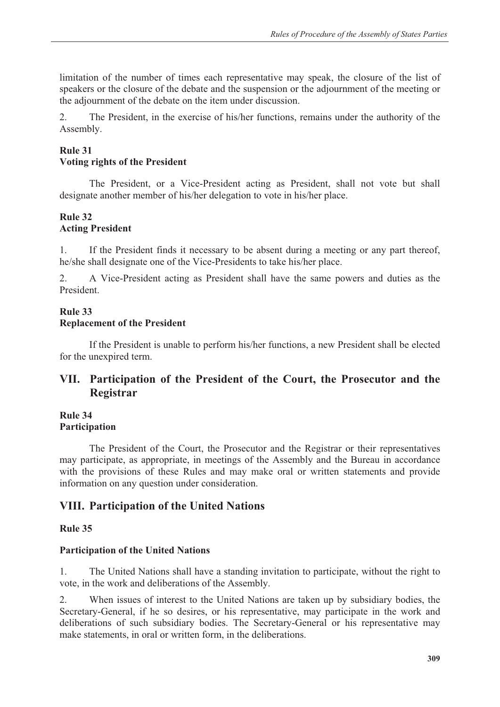limitation of the number of times each representative may speak, the closure of the list of speakers or the closure of the debate and the suspension or the adjournment of the meeting or the adjournment of the debate on the item under discussion.

2. The President, in the exercise of his/her functions, remains under the authority of the Assembly.

# **Rule 31**

### **Voting rights of the President**

 The President, or a Vice-President acting as President, shall not vote but shall designate another member of his/her delegation to vote in his/her place.

### **Rule 32 Acting President**

1. If the President finds it necessary to be absent during a meeting or any part thereof, he/she shall designate one of the Vice-Presidents to take his/her place.

2. A Vice-President acting as President shall have the same powers and duties as the President.

## **Rule 33 Replacement of the President**

 If the President is unable to perform his/her functions, a new President shall be elected for the unexpired term.

# **VII. Participation of the President of the Court, the Prosecutor and the Registrar**

#### **Rule 34 Participation**

 The President of the Court, the Prosecutor and the Registrar or their representatives may participate, as appropriate, in meetings of the Assembly and the Bureau in accordance with the provisions of these Rules and may make oral or written statements and provide information on any question under consideration.

# **VIII. Participation of the United Nations**

## **Rule 35**

## **Participation of the United Nations**

1. The United Nations shall have a standing invitation to participate, without the right to vote, in the work and deliberations of the Assembly.

2. When issues of interest to the United Nations are taken up by subsidiary bodies, the Secretary-General, if he so desires, or his representative, may participate in the work and deliberations of such subsidiary bodies. The Secretary-General or his representative may make statements, in oral or written form, in the deliberations.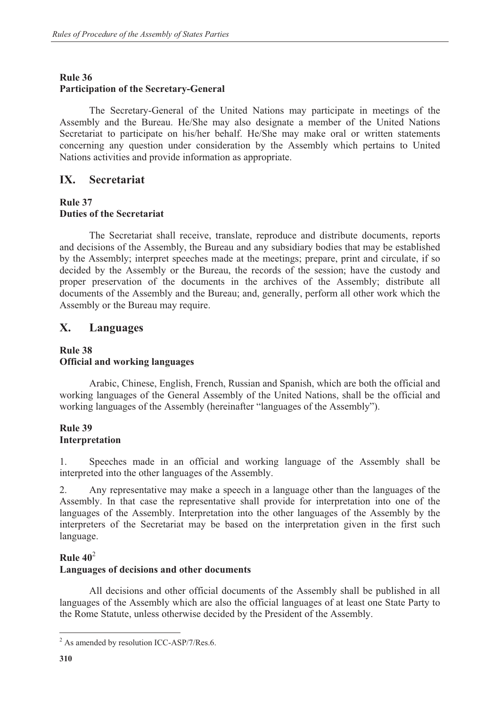#### **Rule 36**

#### **Participation of the Secretary-General**

 The Secretary-General of the United Nations may participate in meetings of the Assembly and the Bureau. He/She may also designate a member of the United Nations Secretariat to participate on his/her behalf. He/She may make oral or written statements concerning any question under consideration by the Assembly which pertains to United Nations activities and provide information as appropriate.

### **IX. Secretariat**

#### **Rule 37 Duties of the Secretariat**

 The Secretariat shall receive, translate, reproduce and distribute documents, reports and decisions of the Assembly, the Bureau and any subsidiary bodies that may be established by the Assembly; interpret speeches made at the meetings; prepare, print and circulate, if so decided by the Assembly or the Bureau, the records of the session; have the custody and proper preservation of the documents in the archives of the Assembly; distribute all documents of the Assembly and the Bureau; and, generally, perform all other work which the Assembly or the Bureau may require.

# **X. Languages**

## **Rule 38 Official and working languages**

 Arabic, Chinese, English, French, Russian and Spanish, which are both the official and working languages of the General Assembly of the United Nations, shall be the official and working languages of the Assembly (hereinafter "languages of the Assembly").

### **Rule 39 Interpretation**

1. Speeches made in an official and working language of the Assembly shall be interpreted into the other languages of the Assembly.

2. Any representative may make a speech in a language other than the languages of the Assembly. In that case the representative shall provide for interpretation into one of the languages of the Assembly. Interpretation into the other languages of the Assembly by the interpreters of the Secretariat may be based on the interpretation given in the first such language.

#### **Rule 40**<sup>2</sup>

#### **Languages of decisions and other documents**

 All decisions and other official documents of the Assembly shall be published in all languages of the Assembly which are also the official languages of at least one State Party to the Rome Statute, unless otherwise decided by the President of the Assembly.

 $2$  As amended by resolution ICC-ASP/7/Res.6.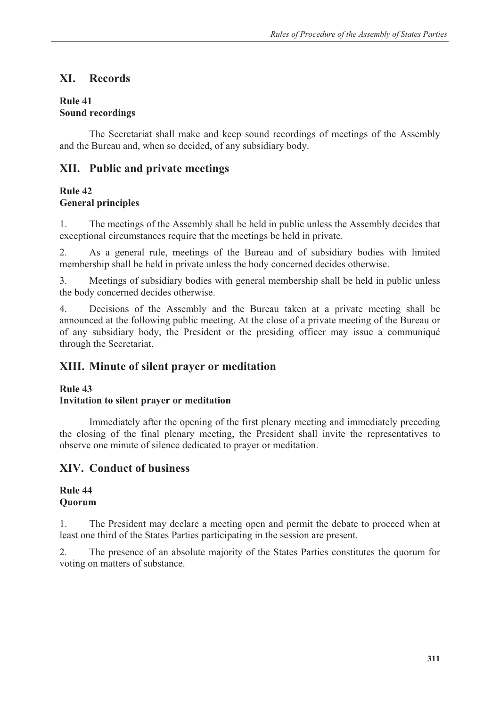# **XI. Records**

#### **Rule 41 Sound recordings**

 The Secretariat shall make and keep sound recordings of meetings of the Assembly and the Bureau and, when so decided, of any subsidiary body.

# **XII. Public and private meetings**

# **Rule 42 General principles**

1. The meetings of the Assembly shall be held in public unless the Assembly decides that exceptional circumstances require that the meetings be held in private.

2. As a general rule, meetings of the Bureau and of subsidiary bodies with limited membership shall be held in private unless the body concerned decides otherwise.

3. Meetings of subsidiary bodies with general membership shall be held in public unless the body concerned decides otherwise.

4. Decisions of the Assembly and the Bureau taken at a private meeting shall be announced at the following public meeting. At the close of a private meeting of the Bureau or of any subsidiary body, the President or the presiding officer may issue a communiqué through the Secretariat.

# **XIII. Minute of silent prayer or meditation**

# **Rule 43**

# **Invitation to silent prayer or meditation**

 Immediately after the opening of the first plenary meeting and immediately preceding the closing of the final plenary meeting, the President shall invite the representatives to observe one minute of silence dedicated to prayer or meditation.

# **XIV. Conduct of business**

### **Rule 44 Quorum**

1. The President may declare a meeting open and permit the debate to proceed when at least one third of the States Parties participating in the session are present.

2. The presence of an absolute majority of the States Parties constitutes the quorum for voting on matters of substance.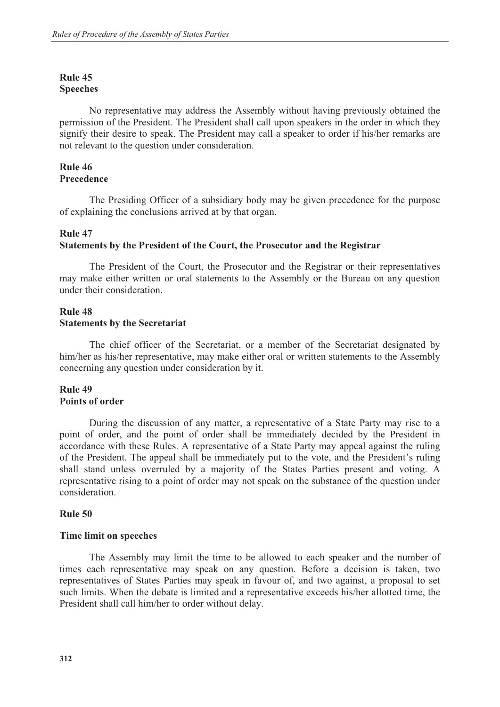### **Rule 45 Speeches**

 No representative may address the Assembly without having previously obtained the permission of the President. The President shall call upon speakers in the order in which they signify their desire to speak. The President may call a speaker to order if his/her remarks are not relevant to the question under consideration.

#### **Rule 46 Precedence**

 The Presiding Officer of a subsidiary body may be given precedence for the purpose of explaining the conclusions arrived at by that organ.

#### **Rule 47**

#### **Statements by the President of the Court, the Prosecutor and the Registrar**

 The President of the Court, the Prosecutor and the Registrar or their representatives may make either written or oral statements to the Assembly or the Bureau on any question under their consideration.

### **Rule 48 Statements by the Secretariat**

 The chief officer of the Secretariat, or a member of the Secretariat designated by him/her as his/her representative, may make either oral or written statements to the Assembly concerning any question under consideration by it.

### **Rule 49 Points of order**

 During the discussion of any matter, a representative of a State Party may rise to a point of order, and the point of order shall be immediately decided by the President in accordance with these Rules. A representative of a State Party may appeal against the ruling of the President. The appeal shall be immediately put to the vote, and the President's ruling shall stand unless overruled by a majority of the States Parties present and voting. A representative rising to a point of order may not speak on the substance of the question under consideration.

#### **Rule 50**

#### **Time limit on speeches**

 The Assembly may limit the time to be allowed to each speaker and the number of times each representative may speak on any question. Before a decision is taken, two representatives of States Parties may speak in favour of, and two against, a proposal to set such limits. When the debate is limited and a representative exceeds his/her allotted time, the President shall call him/her to order without delay.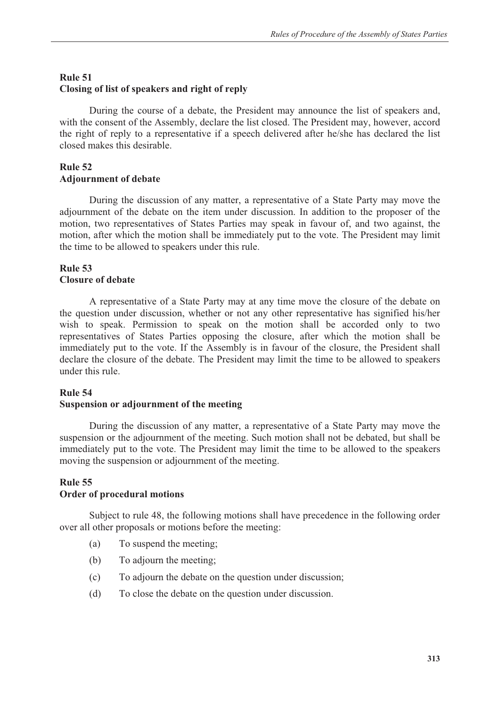# **Rule 51 Closing of list of speakers and right of reply**

 During the course of a debate, the President may announce the list of speakers and, with the consent of the Assembly, declare the list closed. The President may, however, accord the right of reply to a representative if a speech delivered after he/she has declared the list closed makes this desirable.

# **Rule 52 Adjournment of debate**

 During the discussion of any matter, a representative of a State Party may move the adjournment of the debate on the item under discussion. In addition to the proposer of the motion, two representatives of States Parties may speak in favour of, and two against, the motion, after which the motion shall be immediately put to the vote. The President may limit the time to be allowed to speakers under this rule.

## **Rule 53 Closure of debate**

 A representative of a State Party may at any time move the closure of the debate on the question under discussion, whether or not any other representative has signified his/her wish to speak. Permission to speak on the motion shall be accorded only to two representatives of States Parties opposing the closure, after which the motion shall be immediately put to the vote. If the Assembly is in favour of the closure, the President shall declare the closure of the debate. The President may limit the time to be allowed to speakers under this rule.

## **Rule 54**

## **Suspension or adjournment of the meeting**

 During the discussion of any matter, a representative of a State Party may move the suspension or the adjournment of the meeting. Such motion shall not be debated, but shall be immediately put to the vote. The President may limit the time to be allowed to the speakers moving the suspension or adjournment of the meeting.

#### **Rule 55 Order of procedural motions**

 Subject to rule 48, the following motions shall have precedence in the following order over all other proposals or motions before the meeting:

- (a) To suspend the meeting;
- (b) To adjourn the meeting;
- (c) To adjourn the debate on the question under discussion;
- (d) To close the debate on the question under discussion.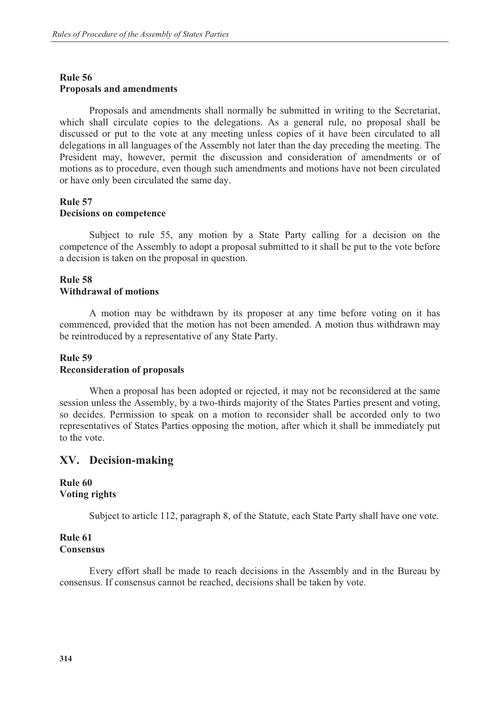# **Rule 56 Proposals and amendments**

 Proposals and amendments shall normally be submitted in writing to the Secretariat, which shall circulate copies to the delegations. As a general rule, no proposal shall be discussed or put to the vote at any meeting unless copies of it have been circulated to all delegations in all languages of the Assembly not later than the day preceding the meeting. The President may, however, permit the discussion and consideration of amendments or of motions as to procedure, even though such amendments and motions have not been circulated or have only been circulated the same day.

### **Rule 57 Decisions on competence**

 Subject to rule 55, any motion by a State Party calling for a decision on the competence of the Assembly to adopt a proposal submitted to it shall be put to the vote before a decision is taken on the proposal in question.

## **Rule 58 Withdrawal of motions**

 A motion may be withdrawn by its proposer at any time before voting on it has commenced, provided that the motion has not been amended. A motion thus withdrawn may be reintroduced by a representative of any State Party.

### **Rule 59 Reconsideration of proposals**

 When a proposal has been adopted or rejected, it may not be reconsidered at the same session unless the Assembly, by a two-thirds majority of the States Parties present and voting, so decides. Permission to speak on a motion to reconsider shall be accorded only to two representatives of States Parties opposing the motion, after which it shall be immediately put to the vote.

# **XV. Decision-making**

### **Rule 60 Voting rights**

Subject to article 112, paragraph 8, of the Statute, each State Party shall have one vote.

## **Rule 61 Consensus**

 Every effort shall be made to reach decisions in the Assembly and in the Bureau by consensus. If consensus cannot be reached, decisions shall be taken by vote.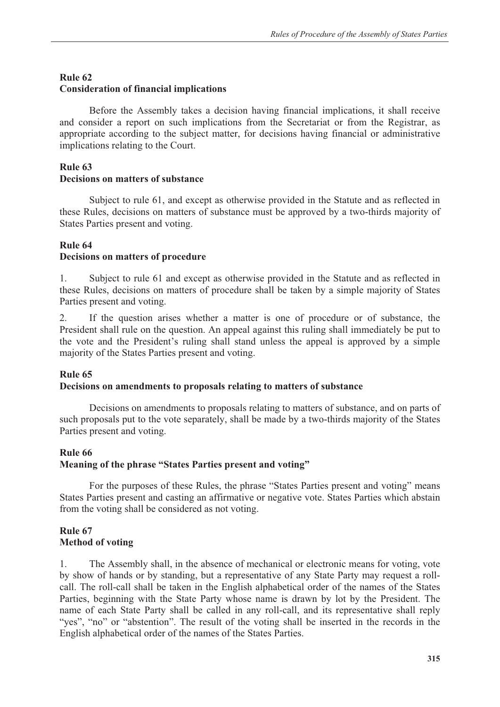### **Rule 62**

### **Consideration of financial implications**

 Before the Assembly takes a decision having financial implications, it shall receive and consider a report on such implications from the Secretariat or from the Registrar, as appropriate according to the subject matter, for decisions having financial or administrative implications relating to the Court.

### **Rule 63 Decisions on matters of substance**

 Subject to rule 61, and except as otherwise provided in the Statute and as reflected in these Rules, decisions on matters of substance must be approved by a two-thirds majority of States Parties present and voting.

# **Rule 64**

## **Decisions on matters of procedure**

1. Subject to rule 61 and except as otherwise provided in the Statute and as reflected in these Rules, decisions on matters of procedure shall be taken by a simple majority of States Parties present and voting.

2. If the question arises whether a matter is one of procedure or of substance, the President shall rule on the question. An appeal against this ruling shall immediately be put to the vote and the President's ruling shall stand unless the appeal is approved by a simple majority of the States Parties present and voting.

#### **Rule 65**

#### **Decisions on amendments to proposals relating to matters of substance**

 Decisions on amendments to proposals relating to matters of substance, and on parts of such proposals put to the vote separately, shall be made by a two-thirds majority of the States Parties present and voting.

#### **Rule 66**

## **Meaning of the phrase "States Parties present and voting"**

 For the purposes of these Rules, the phrase "States Parties present and voting" means States Parties present and casting an affirmative or negative vote. States Parties which abstain from the voting shall be considered as not voting.

# **Rule 67 Method of voting**

1. The Assembly shall, in the absence of mechanical or electronic means for voting, vote by show of hands or by standing, but a representative of any State Party may request a rollcall. The roll-call shall be taken in the English alphabetical order of the names of the States Parties, beginning with the State Party whose name is drawn by lot by the President. The name of each State Party shall be called in any roll-call, and its representative shall reply "yes", "no" or "abstention". The result of the voting shall be inserted in the records in the English alphabetical order of the names of the States Parties.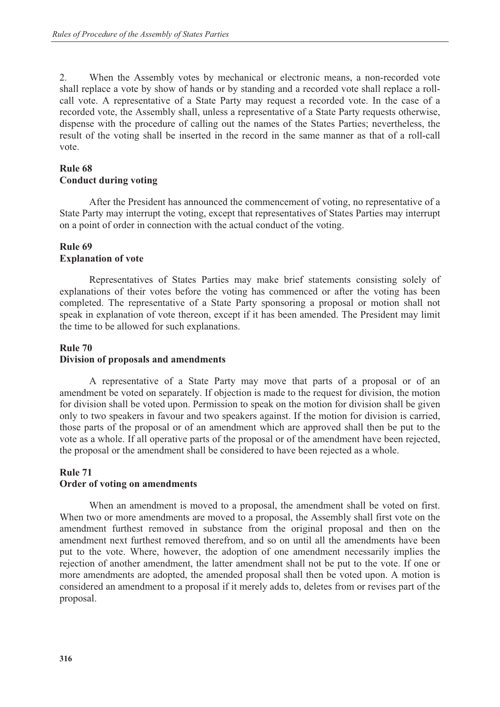2. When the Assembly votes by mechanical or electronic means, a non-recorded vote shall replace a vote by show of hands or by standing and a recorded vote shall replace a rollcall vote. A representative of a State Party may request a recorded vote. In the case of a recorded vote, the Assembly shall, unless a representative of a State Party requests otherwise, dispense with the procedure of calling out the names of the States Parties; nevertheless, the result of the voting shall be inserted in the record in the same manner as that of a roll-call vote.

## **Rule 68**

### **Conduct during voting**

 After the President has announced the commencement of voting, no representative of a State Party may interrupt the voting, except that representatives of States Parties may interrupt on a point of order in connection with the actual conduct of the voting.

#### **Rule 69 Explanation of vote**

 Representatives of States Parties may make brief statements consisting solely of explanations of their votes before the voting has commenced or after the voting has been completed. The representative of a State Party sponsoring a proposal or motion shall not speak in explanation of vote thereon, except if it has been amended. The President may limit the time to be allowed for such explanations.

# **Rule 70 Division of proposals and amendments**

 A representative of a State Party may move that parts of a proposal or of an amendment be voted on separately. If objection is made to the request for division, the motion for division shall be voted upon. Permission to speak on the motion for division shall be given only to two speakers in favour and two speakers against. If the motion for division is carried, those parts of the proposal or of an amendment which are approved shall then be put to the vote as a whole. If all operative parts of the proposal or of the amendment have been rejected, the proposal or the amendment shall be considered to have been rejected as a whole.

#### **Rule 71 Order of voting on amendments**

 When an amendment is moved to a proposal, the amendment shall be voted on first. When two or more amendments are moved to a proposal, the Assembly shall first vote on the amendment furthest removed in substance from the original proposal and then on the amendment next furthest removed therefrom, and so on until all the amendments have been put to the vote. Where, however, the adoption of one amendment necessarily implies the rejection of another amendment, the latter amendment shall not be put to the vote. If one or more amendments are adopted, the amended proposal shall then be voted upon. A motion is considered an amendment to a proposal if it merely adds to, deletes from or revises part of the proposal.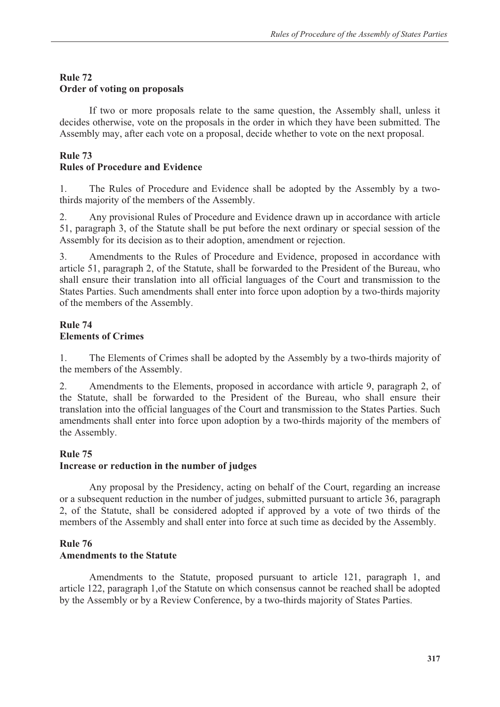# **Rule 72 Order of voting on proposals**

 If two or more proposals relate to the same question, the Assembly shall, unless it decides otherwise, vote on the proposals in the order in which they have been submitted. The Assembly may, after each vote on a proposal, decide whether to vote on the next proposal.

# **Rule 73**

# **Rules of Procedure and Evidence**

1. The Rules of Procedure and Evidence shall be adopted by the Assembly by a twothirds majority of the members of the Assembly.

2. Any provisional Rules of Procedure and Evidence drawn up in accordance with article 51, paragraph 3, of the Statute shall be put before the next ordinary or special session of the Assembly for its decision as to their adoption, amendment or rejection.

3. Amendments to the Rules of Procedure and Evidence, proposed in accordance with article 51, paragraph 2, of the Statute, shall be forwarded to the President of the Bureau, who shall ensure their translation into all official languages of the Court and transmission to the States Parties. Such amendments shall enter into force upon adoption by a two-thirds majority of the members of the Assembly.

# **Rule 74 Elements of Crimes**

1. The Elements of Crimes shall be adopted by the Assembly by a two-thirds majority of the members of the Assembly.

2. Amendments to the Elements, proposed in accordance with article 9, paragraph 2, of the Statute, shall be forwarded to the President of the Bureau, who shall ensure their translation into the official languages of the Court and transmission to the States Parties. Such amendments shall enter into force upon adoption by a two-thirds majority of the members of the Assembly.

# **Rule 75**

# **Increase or reduction in the number of judges**

 Any proposal by the Presidency, acting on behalf of the Court, regarding an increase or a subsequent reduction in the number of judges, submitted pursuant to article 36, paragraph 2, of the Statute, shall be considered adopted if approved by a vote of two thirds of the members of the Assembly and shall enter into force at such time as decided by the Assembly.

# **Rule 76**

# **Amendments to the Statute**

 Amendments to the Statute, proposed pursuant to article 121, paragraph 1, and article 122, paragraph 1,of the Statute on which consensus cannot be reached shall be adopted by the Assembly or by a Review Conference, by a two-thirds majority of States Parties.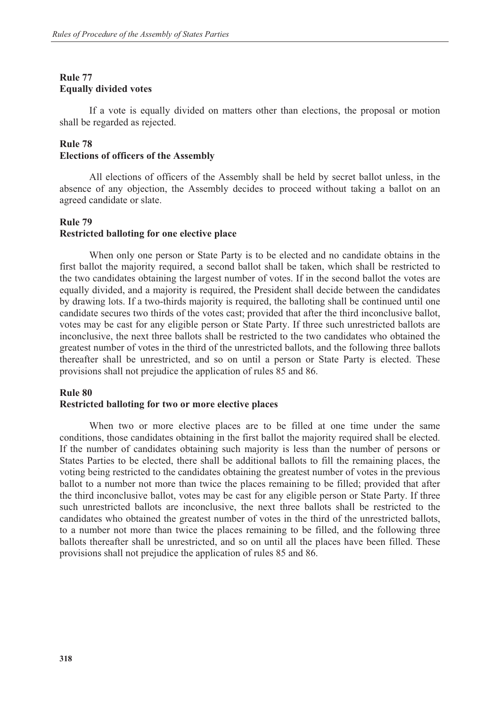# **Rule 77 Equally divided votes**

 If a vote is equally divided on matters other than elections, the proposal or motion shall be regarded as rejected.

# **Rule 78 Elections of officers of the Assembly**

 All elections of officers of the Assembly shall be held by secret ballot unless, in the absence of any objection, the Assembly decides to proceed without taking a ballot on an agreed candidate or slate.

# **Rule 79 Restricted balloting for one elective place**

 When only one person or State Party is to be elected and no candidate obtains in the first ballot the majority required, a second ballot shall be taken, which shall be restricted to the two candidates obtaining the largest number of votes. If in the second ballot the votes are equally divided, and a majority is required, the President shall decide between the candidates by drawing lots. If a two-thirds majority is required, the balloting shall be continued until one candidate secures two thirds of the votes cast; provided that after the third inconclusive ballot, votes may be cast for any eligible person or State Party. If three such unrestricted ballots are inconclusive, the next three ballots shall be restricted to the two candidates who obtained the greatest number of votes in the third of the unrestricted ballots, and the following three ballots thereafter shall be unrestricted, and so on until a person or State Party is elected. These provisions shall not prejudice the application of rules 85 and 86.

## **Rule 80**

## **Restricted balloting for two or more elective places**

 When two or more elective places are to be filled at one time under the same conditions, those candidates obtaining in the first ballot the majority required shall be elected. If the number of candidates obtaining such majority is less than the number of persons or States Parties to be elected, there shall be additional ballots to fill the remaining places, the voting being restricted to the candidates obtaining the greatest number of votes in the previous ballot to a number not more than twice the places remaining to be filled; provided that after the third inconclusive ballot, votes may be cast for any eligible person or State Party. If three such unrestricted ballots are inconclusive, the next three ballots shall be restricted to the candidates who obtained the greatest number of votes in the third of the unrestricted ballots, to a number not more than twice the places remaining to be filled, and the following three ballots thereafter shall be unrestricted, and so on until all the places have been filled. These provisions shall not prejudice the application of rules 85 and 86.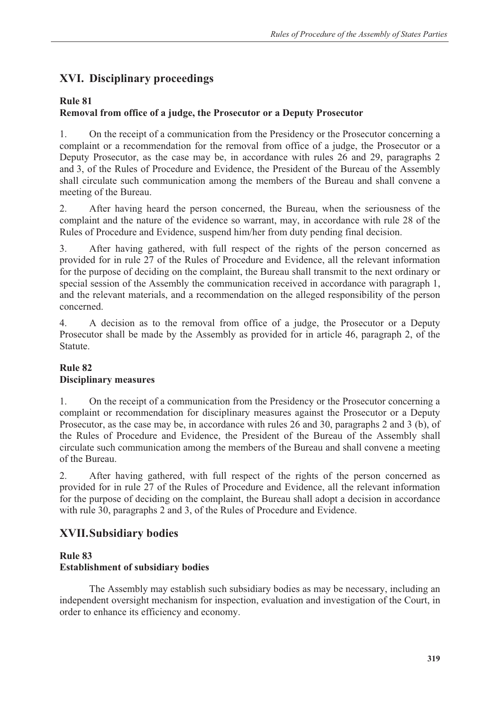# **XVI. Disciplinary proceedings**

# **Rule 81**

# **Removal from office of a judge, the Prosecutor or a Deputy Prosecutor**

1. On the receipt of a communication from the Presidency or the Prosecutor concerning a complaint or a recommendation for the removal from office of a judge, the Prosecutor or a Deputy Prosecutor, as the case may be, in accordance with rules 26 and 29, paragraphs 2 and 3, of the Rules of Procedure and Evidence, the President of the Bureau of the Assembly shall circulate such communication among the members of the Bureau and shall convene a meeting of the Bureau.

2. After having heard the person concerned, the Bureau, when the seriousness of the complaint and the nature of the evidence so warrant, may, in accordance with rule 28 of the Rules of Procedure and Evidence, suspend him/her from duty pending final decision.

3. After having gathered, with full respect of the rights of the person concerned as provided for in rule 27 of the Rules of Procedure and Evidence, all the relevant information for the purpose of deciding on the complaint, the Bureau shall transmit to the next ordinary or special session of the Assembly the communication received in accordance with paragraph 1, and the relevant materials, and a recommendation on the alleged responsibility of the person concerned.

4. A decision as to the removal from office of a judge, the Prosecutor or a Deputy Prosecutor shall be made by the Assembly as provided for in article 46, paragraph 2, of the Statute.

# **Rule 82 Disciplinary measures**

1. On the receipt of a communication from the Presidency or the Prosecutor concerning a complaint or recommendation for disciplinary measures against the Prosecutor or a Deputy Prosecutor, as the case may be, in accordance with rules 26 and 30, paragraphs 2 and 3 (b), of the Rules of Procedure and Evidence, the President of the Bureau of the Assembly shall circulate such communication among the members of the Bureau and shall convene a meeting of the Bureau.

2. After having gathered, with full respect of the rights of the person concerned as provided for in rule 27 of the Rules of Procedure and Evidence, all the relevant information for the purpose of deciding on the complaint, the Bureau shall adopt a decision in accordance with rule 30, paragraphs 2 and 3, of the Rules of Procedure and Evidence.

# **XVII. Subsidiary bodies**

### **Rule 83 Establishment of subsidiary bodies**

 The Assembly may establish such subsidiary bodies as may be necessary, including an independent oversight mechanism for inspection, evaluation and investigation of the Court, in order to enhance its efficiency and economy.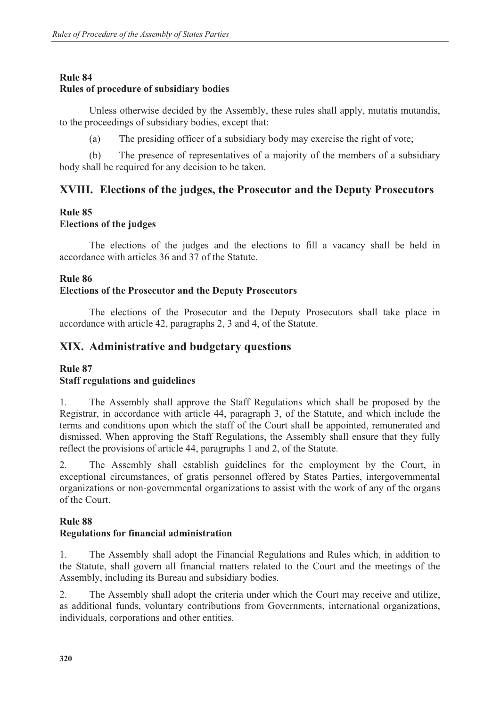## **Rule 84**

### **Rules of procedure of subsidiary bodies**

 Unless otherwise decided by the Assembly, these rules shall apply, mutatis mutandis, to the proceedings of subsidiary bodies, except that:

(a) The presiding officer of a subsidiary body may exercise the right of vote;

 (b) The presence of representatives of a majority of the members of a subsidiary body shall be required for any decision to be taken.

# **XVIII. Elections of the judges, the Prosecutor and the Deputy Prosecutors**

### **Rule 85 Elections of the judges**

 The elections of the judges and the elections to fill a vacancy shall be held in accordance with articles 36 and 37 of the Statute.

### **Rule 86**

### **Elections of the Prosecutor and the Deputy Prosecutors**

 The elections of the Prosecutor and the Deputy Prosecutors shall take place in accordance with article 42, paragraphs 2, 3 and 4, of the Statute.

# **XIX. Administrative and budgetary questions**

#### **Rule 87**

#### **Staff regulations and guidelines**

1. The Assembly shall approve the Staff Regulations which shall be proposed by the Registrar, in accordance with article 44, paragraph 3, of the Statute, and which include the terms and conditions upon which the staff of the Court shall be appointed, remunerated and dismissed. When approving the Staff Regulations, the Assembly shall ensure that they fully reflect the provisions of article 44, paragraphs 1 and 2, of the Statute.

2. The Assembly shall establish guidelines for the employment by the Court, in exceptional circumstances, of gratis personnel offered by States Parties, intergovernmental organizations or non-governmental organizations to assist with the work of any of the organs of the Court.

#### **Rule 88**

#### **Regulations for financial administration**

1. The Assembly shall adopt the Financial Regulations and Rules which, in addition to the Statute, shall govern all financial matters related to the Court and the meetings of the Assembly, including its Bureau and subsidiary bodies.

2. The Assembly shall adopt the criteria under which the Court may receive and utilize, as additional funds, voluntary contributions from Governments, international organizations, individuals, corporations and other entities.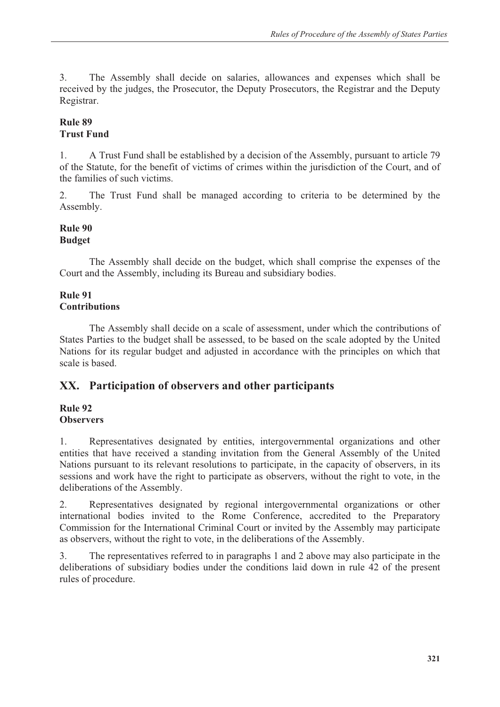3. The Assembly shall decide on salaries, allowances and expenses which shall be received by the judges, the Prosecutor, the Deputy Prosecutors, the Registrar and the Deputy Registrar.

# **Rule 89 Trust Fund**

1. A Trust Fund shall be established by a decision of the Assembly, pursuant to article 79 of the Statute, for the benefit of victims of crimes within the jurisdiction of the Court, and of the families of such victims.

2. The Trust Fund shall be managed according to criteria to be determined by the Assembly.

## **Rule 90 Budget**

 The Assembly shall decide on the budget, which shall comprise the expenses of the Court and the Assembly, including its Bureau and subsidiary bodies.

# **Rule 91 Contributions**

 The Assembly shall decide on a scale of assessment, under which the contributions of States Parties to the budget shall be assessed, to be based on the scale adopted by the United Nations for its regular budget and adjusted in accordance with the principles on which that scale is based.

# **XX. Participation of observers and other participants**

#### **Rule 92 Observers**

## 1. Representatives designated by entities, intergovernmental organizations and other entities that have received a standing invitation from the General Assembly of the United Nations pursuant to its relevant resolutions to participate, in the capacity of observers, in its sessions and work have the right to participate as observers, without the right to vote, in the deliberations of the Assembly.

2. Representatives designated by regional intergovernmental organizations or other international bodies invited to the Rome Conference, accredited to the Preparatory Commission for the International Criminal Court or invited by the Assembly may participate as observers, without the right to vote, in the deliberations of the Assembly.

3. The representatives referred to in paragraphs 1 and 2 above may also participate in the deliberations of subsidiary bodies under the conditions laid down in rule 42 of the present rules of procedure.